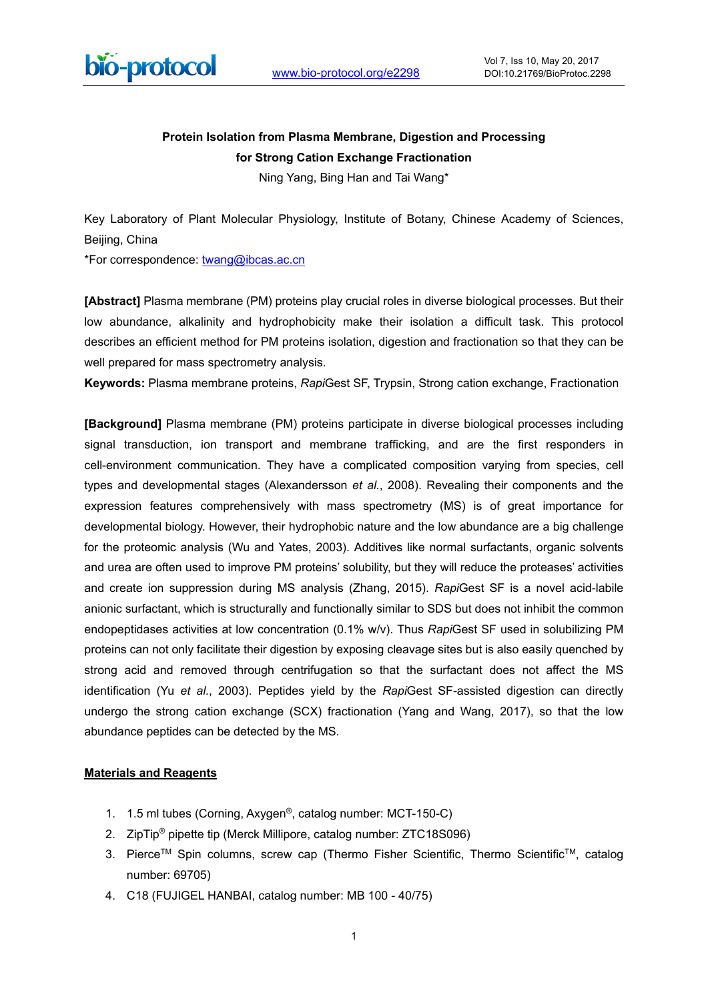

### **Protein Isolation from Plasma Membrane, Digestion and Processing for Strong Cation Exchange Fractionation**

Ning Yang, Bing Han and Tai Wang\*

Key Laboratory of Plant Molecular Physiology, Institute of Botany, Chinese Academy of Sciences, Beijing, China

\*For correspondence: [twang@ibcas.ac.cn](mailto:twang@ibcas.ac.cn)

**[Abstract]** Plasma membrane (PM) proteins play crucial roles in diverse biological processes. But their low abundance, alkalinity and hydrophobicity make their isolation a difficult task. This protocol describes an efficient method for PM proteins isolation, digestion and fractionation so that they can be well prepared for mass spectrometry analysis.

**Keywords:** Plasma membrane proteins, *Rapi*Gest SF, Trypsin, Strong cation exchange, Fractionation

**[Background]** Plasma membrane (PM) proteins participate in diverse biological processes including signal transduction, ion transport and membrane trafficking, and are the first responders in cell-environment communication. They have a complicated composition varying from species, cell types and developmental stages (Alexandersson *et al.*, 2008). Revealing their components and the expression features comprehensively with mass spectrometry (MS) is of great importance for developmental biology. However, their hydrophobic nature and the low abundance are a big challenge for the proteomic analysis (Wu and Yates, 2003). Additives like normal surfactants, organic solvents and urea are often used to improve PM proteins' solubility, but they will reduce the proteases' activities and create ion suppression during MS analysis (Zhang, 2015). *Rapi*Gest SF is a novel acid-labile anionic surfactant, which is structurally and functionally similar to SDS but does not inhibit the common endopeptidases activities at low concentration (0.1% w/v). Thus *Rapi*Gest SF used in solubilizing PM proteins can not only facilitate their digestion by exposing cleavage sites but is also easily quenched by strong acid and removed through centrifugation so that the surfactant does not affect the MS identification (Yu *et al.*, 2003). Peptides yield by the *Rapi*Gest SF-assisted digestion can directly undergo the strong cation exchange (SCX) fractionation (Yang and Wang, 2017), so that the low abundance peptides can be detected by the MS.

### **Materials and Reagents**

- 1. 1.5 ml tubes (Corning, Axygen®, catalog number: MCT-150-C)
- 2. ZipTip<sup>®</sup> pipette tip (Merck Millipore, catalog number: ZTC18S096)
- 3. Pierce<sup>™</sup> Spin columns, screw cap (Thermo Fisher Scientific, Thermo Scientific<sup>™</sup>, catalog number: 69705)
- 4. C18 (FUJIGEL HANBAI, catalog number: MB 100 40/75)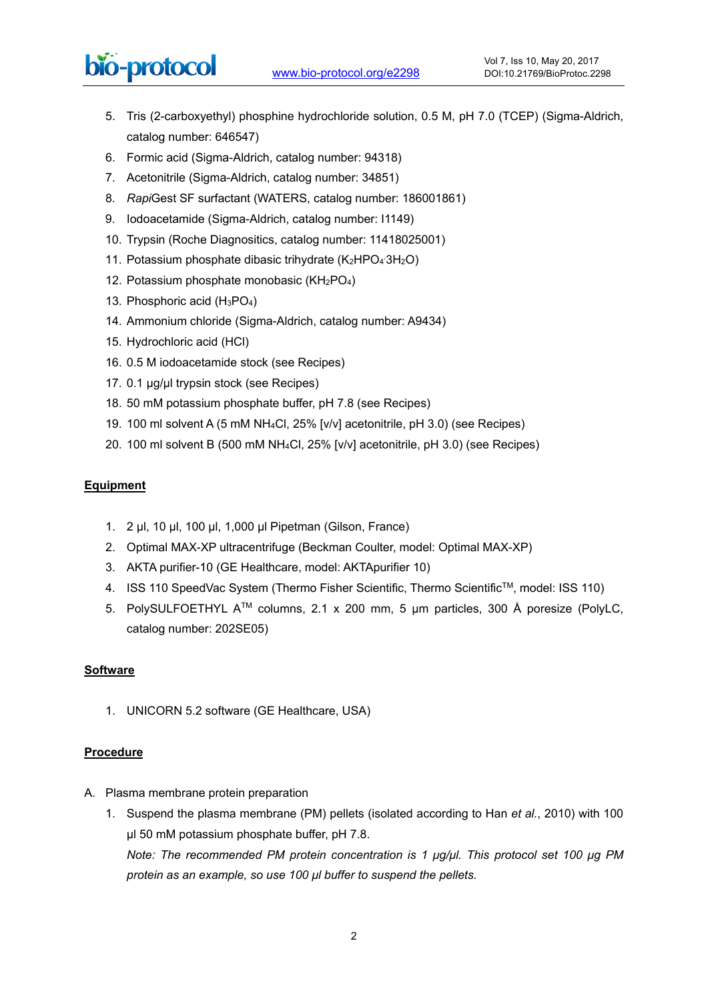# bio-protocol

- 5. Tris (2-carboxyethyl) phosphine hydrochloride solution, 0.5 M, pH 7.0 (TCEP) (Sigma-Aldrich, catalog number: 646547)
- 6. Formic acid (Sigma-Aldrich, catalog number: 94318)

 $\overline{a}$ 

- 7. Acetonitrile (Sigma-Aldrich, catalog number: 34851)
- 8. *Rapi*Gest SF surfactant (WATERS, catalog number: 186001861)
- 9. Iodoacetamide (Sigma-Aldrich, catalog number: I1149)
- 10. Trypsin (Roche Diagnositics, catalog number: 11418025001)
- 11. Potassium phosphate dibasic trihydrate (K2HPO43H2O)
- 12. Potassium phosphate monobasic (KH2PO4)
- 13. Phosphoric acid (H3PO4)
- 14. Ammonium chloride (Sigma-Aldrich, catalog number: A9434)
- 15. Hydrochloric acid (HCl)
- 16. 0.5 M iodoacetamide stock (see Recipes)
- 17. 0.1 μg/μl trypsin stock (see Recipes)
- 18. 50 mM potassium phosphate buffer, pH 7.8 (see Recipes)
- 19. 100 ml solvent A (5 mM NH4Cl, 25% [v/v] acetonitrile, pH 3.0) (see Recipes)
- 20. 100 ml solvent B (500 mM NH4Cl, 25% [v/v] acetonitrile, pH 3.0) (see Recipes)

### **Equipment**

- 1. 2 μl, 10 μl, 100 μl, 1,000 μl Pipetman (Gilson, France)
- 2. Optimal MAX-XP ultracentrifuge (Beckman Coulter, model: Optimal MAX-XP)
- 3. AKTA purifier-10 (GE Healthcare, model: AKTApurifier 10)
- 4. ISS 110 SpeedVac System (Thermo Fisher Scientific, Thermo ScientificTM, model: ISS 110)
- 5. PolySULFOETHYL ATM columns, 2.1 x 200 mm, 5 μm particles, 300 Å poresize (PolyLC, catalog number: 202SE05)

### **Software**

1. UNICORN 5.2 software (GE Healthcare, USA)

### **Procedure**

- A. Plasma membrane protein preparation
	- 1. Suspend the plasma membrane (PM) pellets (isolated according to Han *et al.*, 2010) with 100 μl 50 mM potassium phosphate buffer, pH 7.8.

*Note: The recommended PM protein concentration is 1 μg/μl. This protocol set 100 μg PM protein as an example, so use 100 μl buffer to suspend the pellets.*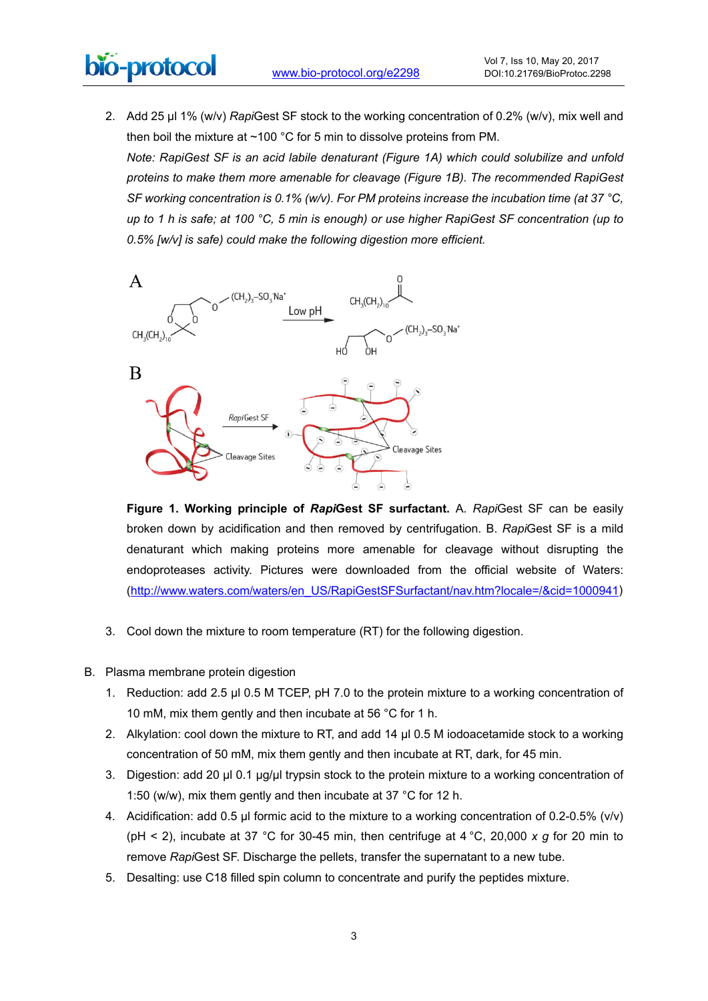## bio-protocol  $\overline{a}$

2. Add 25 μl 1% (w/v) *Rapi*Gest SF stock to the working concentration of 0.2% (w/v), mix well and then boil the mixture at ~100 °C for 5 min to dissolve proteins from PM. *Note: RapiGest SF is an acid labile denaturant (Figure 1A) which could solubilize and unfold* 

*proteins to make them more amenable for cleavage (Figure 1B). The recommended RapiGest SF* working concentration is 0.1% (w/v). For PM proteins increase the incubation time (at 37 °C, *up to 1 h is safe; at 100 °C, 5 min is enough) or use higher RapiGest SF concentration (up to 0.5% [w/v] is safe) could make the following digestion more efficient.*



**Figure 1. Working principle of** *Rapi***Gest SF surfactant.** A. *Rapi*Gest SF can be easily broken down by acidification and then removed by centrifugation. B. *Rapi*Gest SF is a mild denaturant which making proteins more amenable for cleavage without disrupting the endoproteases activity. Pictures were downloaded from the official website of Waters: [\(http://www.waters.com/waters/en\\_US/RapiGestSFSurfactant/nav.htm?locale=/&cid=1000941\)](http://www.waters.com/waters/en_US/RapiGestSFSurfactant/nav.htm?locale=/&cid=1000941)

- 3. Cool down the mixture to room temperature (RT) for the following digestion.
- B. Plasma membrane protein digestion
	- 1. Reduction: add 2.5 μl 0.5 M TCEP, pH 7.0 to the protein mixture to a working concentration of 10 mM, mix them gently and then incubate at 56 °C for 1 h.
	- 2. Alkylation: cool down the mixture to RT, and add 14 μl 0.5 M iodoacetamide stock to a working concentration of 50 mM, mix them gently and then incubate at RT, dark, for 45 min.
	- 3. Digestion: add 20 μl 0.1 μg/μl trypsin stock to the protein mixture to a working concentration of 1:50 (w/w), mix them gently and then incubate at 37 °C for 12 h.
	- 4. Acidification: add 0.5 μl formic acid to the mixture to a working concentration of 0.2-0.5% (v/v) (pH < 2), incubate at 37 °C for 30-45 min, then centrifuge at 4 °C, 20,000 *x g* for 20 min to remove *Rapi*Gest SF. Discharge the pellets, transfer the supernatant to a new tube.
	- 5. Desalting: use C18 filled spin column to concentrate and purify the peptides mixture.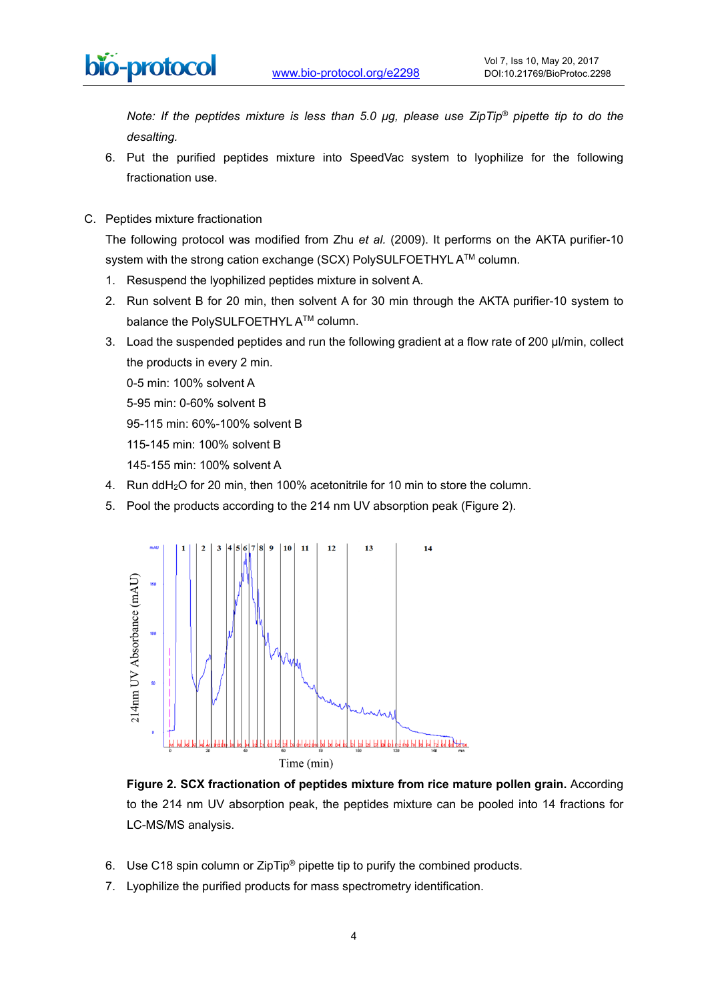*Note: If the peptides mixture is less than 5.0 μg, please use ZipTip® pipette tip to do the desalting.*

- 6. Put the purified peptides mixture into SpeedVac system to lyophilize for the following fractionation use.
- C. Peptides mixture fractionation

 $\overline{a}$ 

The following protocol was modified from Zhu *et al.* (2009). It performs on the AKTA purifier-10 system with the strong cation exchange (SCX) PolySULFOETHYL A™ column.

- 1. Resuspend the lyophilized peptides mixture in solvent A.
- 2. Run solvent B for 20 min, then solvent A for 30 min through the AKTA purifier-10 system to balance the PolySULFOETHYL A™ column.
- 3. Load the suspended peptides and run the following gradient at a flow rate of 200 μl/min, collect the products in every 2 min.
	- 0-5 min: 100% solvent A
	- 5-95 min: 0-60% solvent B
	- 95-115 min: 60%-100% solvent B
	- 115-145 min: 100% solvent B
	- 145-155 min: 100% solvent A
- 4. Run ddH2O for 20 min, then 100% acetonitrile for 10 min to store the column.
- 5. Pool the products according to the 214 nm UV absorption peak (Figure 2).



**Figure 2. SCX fractionation of peptides mixture from rice mature pollen grain.** According to the 214 nm UV absorption peak, the peptides mixture can be pooled into 14 fractions for LC-MS/MS analysis.

- 6. Use C18 spin column or ZipTip® pipette tip to purify the combined products.
- 7. Lyophilize the purified products for mass spectrometry identification.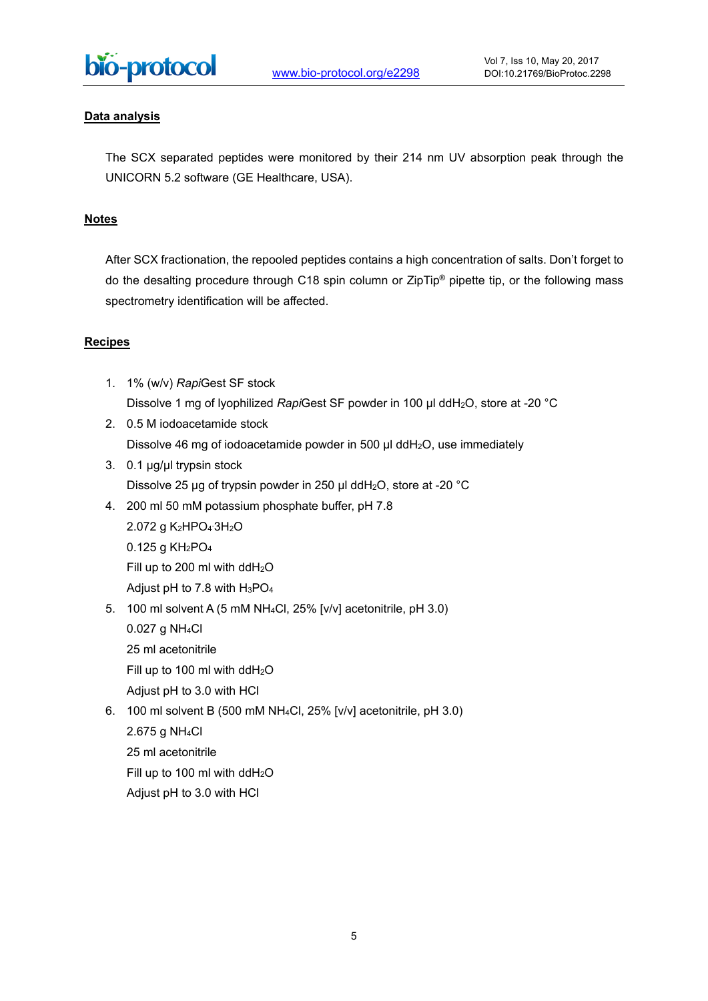

### **Data analysis**

The SCX separated peptides were monitored by their 214 nm UV absorption peak through the UNICORN 5.2 software (GE Healthcare, USA).

### **Notes**

After SCX fractionation, the repooled peptides contains a high concentration of salts. Don't forget to do the desalting procedure through C18 spin column or ZipTip® pipette tip, or the following mass spectrometry identification will be affected.

#### **Recipes**

- 1. 1% (w/v) *Rapi*Gest SF stock Dissolve 1 mg of lyophilized *Rapi*Gest SF powder in 100 μl ddH2O, store at -20 °C
- 2. 0.5 M iodoacetamide stock Dissolve 46 mg of iodoacetamide powder in 500 μl ddH2O, use immediately
- 3. 0.1 μg/μl trypsin stock Dissolve 25 μg of trypsin powder in 250 μl ddH2O, store at -20 °C
- 4. 200 ml 50 mM potassium phosphate buffer, pH 7.8

2.072 g K2HPO4 . 3H2O 0.125 g KH2PO4 Fill up to 200 ml with  $ddH<sub>2</sub>O$ Adjust pH to 7.8 with H3PO4

5. 100 ml solvent A (5 mM NH4Cl, 25% [v/v] acetonitrile, pH 3.0)

0.027 g NH4Cl

25 ml acetonitrile

Fill up to 100 ml with ddH2O

Adjust pH to 3.0 with HCl

6. 100 ml solvent B (500 mM NH4Cl, 25% [v/v] acetonitrile, pH 3.0)

2.675 g NH4Cl

25 ml acetonitrile

Fill up to 100 ml with  $ddH<sub>2</sub>O$ 

Adjust pH to 3.0 with HCl